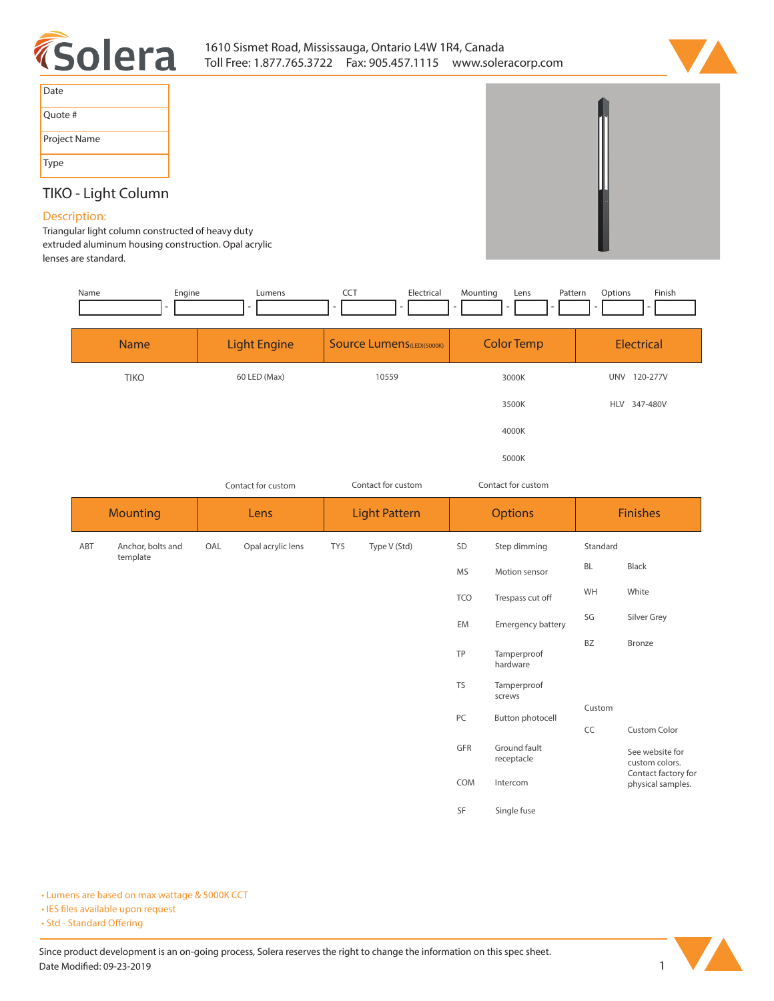



| Date         |
|--------------|
| Quote #      |
| Project Name |
| Type         |

# **TIKO - Light Column**

## **Description:**

**Triangular light column constructed of heavy duty extruded aluminum housing construction. Opal acrylic lenses are standard.** 

| Name | Engine<br>L,                  | Lumens                   | <b>CCT</b><br>Electrical          | Mounting<br>Pattern<br>Lens        | Options<br>Finish                        |
|------|-------------------------------|--------------------------|-----------------------------------|------------------------------------|------------------------------------------|
|      | <b>Name</b>                   | <b>Light Engine</b>      | <b>Source Lumens</b> (LED)(5000K) | <b>Color Temp</b>                  | Electrical                               |
|      | <b>TIKO</b>                   | 60 LED (Max)             | 10559                             | 3000K                              | UNV 120-277V                             |
|      |                               |                          |                                   | 3500K                              | HLV 347-480V                             |
|      |                               |                          |                                   | 4000K                              |                                          |
|      |                               |                          |                                   | 5000K                              |                                          |
|      |                               | Contact for custom       | Contact for custom                | Contact for custom                 |                                          |
|      | <b>Mounting</b>               | Lens                     | <b>Light Pattern</b>              | <b>Options</b>                     | <b>Finishes</b>                          |
| ABT  | Anchor, bolts and<br>template | Opal acrylic lens<br>OAL | TY5<br>Type V (Std)               | SD<br>Step dimming                 | Standard                                 |
|      |                               |                          |                                   | <b>MS</b><br>Motion sensor         | BL<br>Black                              |
|      |                               |                          |                                   | <b>TCO</b><br>Trespass cut off     | White<br>WH                              |
|      |                               |                          |                                   | EM<br><b>Emergency battery</b>     | SG<br>Silver Grey                        |
|      |                               |                          |                                   | TP<br>Tamperproof<br>hardware      | BZ<br><b>Bronze</b>                      |
|      |                               |                          |                                   | <b>TS</b><br>Tamperproof<br>screws |                                          |
|      |                               |                          |                                   | PC<br><b>Button photocell</b>      | Custom<br>CC<br>Custom Color             |
|      |                               |                          |                                   | GFR<br>Ground fault<br>receptacle  | See website for<br>custom colors.        |
|      |                               |                          |                                   | COM<br>Intercom                    | Contact factory for<br>physical samples. |
|      |                               |                          |                                   | SF<br>Single fuse                  |                                          |

**• Lumens are based on max wattage & 5000K CCT**

**• IES files available upon request** 

• Std - Standard Offering

Since product development is an on-going process, Solera reserves the right to change the information on this spec sheet. **Date Modified: 09-23-2019** 1